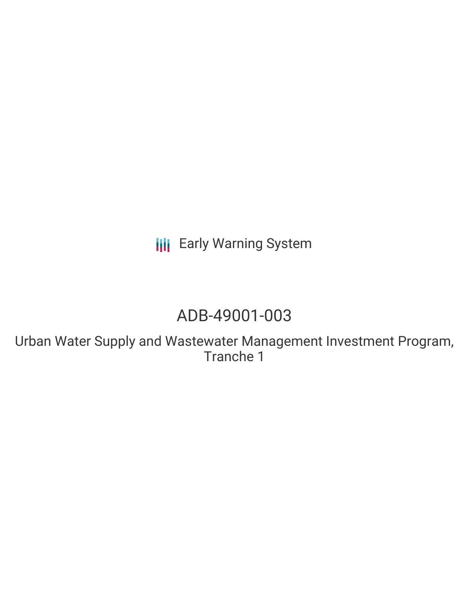**III** Early Warning System

# ADB-49001-003

Urban Water Supply and Wastewater Management Investment Program, Tranche 1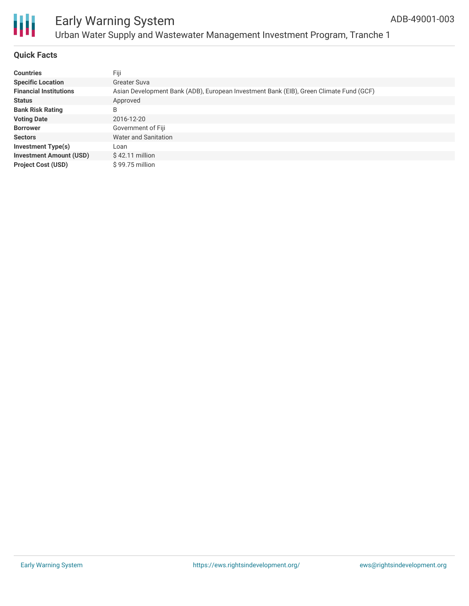

# Early Warning System Urban Water Supply and Wastewater Management Investment Program, Tranche 1

# **Quick Facts**

| <b>Countries</b>               | Fiji                                                                                   |
|--------------------------------|----------------------------------------------------------------------------------------|
| <b>Specific Location</b>       | Greater Suva                                                                           |
| <b>Financial Institutions</b>  | Asian Development Bank (ADB), European Investment Bank (EIB), Green Climate Fund (GCF) |
| <b>Status</b>                  | Approved                                                                               |
| <b>Bank Risk Rating</b>        | B                                                                                      |
| <b>Voting Date</b>             | 2016-12-20                                                                             |
| <b>Borrower</b>                | Government of Fiji                                                                     |
| <b>Sectors</b>                 | Water and Sanitation                                                                   |
| <b>Investment Type(s)</b>      | Loan                                                                                   |
| <b>Investment Amount (USD)</b> | $$42.11$ million                                                                       |
| <b>Project Cost (USD)</b>      | \$99.75 million                                                                        |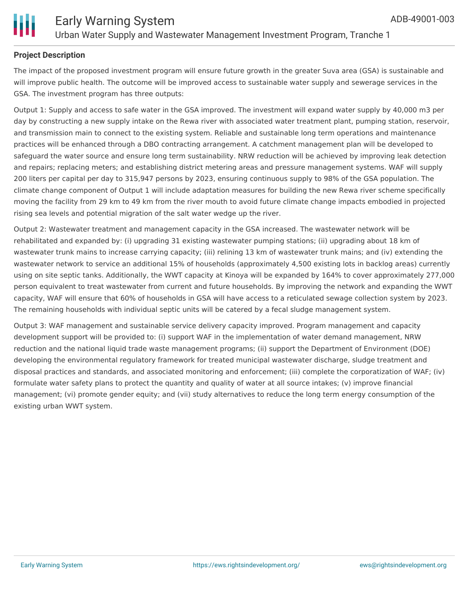

# **Project Description**

The impact of the proposed investment program will ensure future growth in the greater Suva area (GSA) is sustainable and will improve public health. The outcome will be improved access to sustainable water supply and sewerage services in the GSA. The investment program has three outputs:

Output 1: Supply and access to safe water in the GSA improved. The investment will expand water supply by 40,000 m3 per day by constructing a new supply intake on the Rewa river with associated water treatment plant, pumping station, reservoir, and transmission main to connect to the existing system. Reliable and sustainable long term operations and maintenance practices will be enhanced through a DBO contracting arrangement. A catchment management plan will be developed to safeguard the water source and ensure long term sustainability. NRW reduction will be achieved by improving leak detection and repairs; replacing meters; and establishing district metering areas and pressure management systems. WAF will supply 200 liters per capital per day to 315,947 persons by 2023, ensuring continuous supply to 98% of the GSA population. The climate change component of Output 1 will include adaptation measures for building the new Rewa river scheme specifically moving the facility from 29 km to 49 km from the river mouth to avoid future climate change impacts embodied in projected rising sea levels and potential migration of the salt water wedge up the river.

Output 2: Wastewater treatment and management capacity in the GSA increased. The wastewater network will be rehabilitated and expanded by: (i) upgrading 31 existing wastewater pumping stations; (ii) upgrading about 18 km of wastewater trunk mains to increase carrying capacity; (iii) relining 13 km of wastewater trunk mains; and (iv) extending the wastewater network to service an additional 15% of households (approximately 4,500 existing lots in backlog areas) currently using on site septic tanks. Additionally, the WWT capacity at Kinoya will be expanded by 164% to cover approximately 277,000 person equivalent to treat wastewater from current and future households. By improving the network and expanding the WWT capacity, WAF will ensure that 60% of households in GSA will have access to a reticulated sewage collection system by 2023. The remaining households with individual septic units will be catered by a fecal sludge management system.

Output 3: WAF management and sustainable service delivery capacity improved. Program management and capacity development support will be provided to: (i) support WAF in the implementation of water demand management, NRW reduction and the national liquid trade waste management programs; (ii) support the Department of Environment (DOE) developing the environmental regulatory framework for treated municipal wastewater discharge, sludge treatment and disposal practices and standards, and associated monitoring and enforcement; (iii) complete the corporatization of WAF; (iv) formulate water safety plans to protect the quantity and quality of water at all source intakes; (v) improve financial management; (vi) promote gender equity; and (vii) study alternatives to reduce the long term energy consumption of the existing urban WWT system.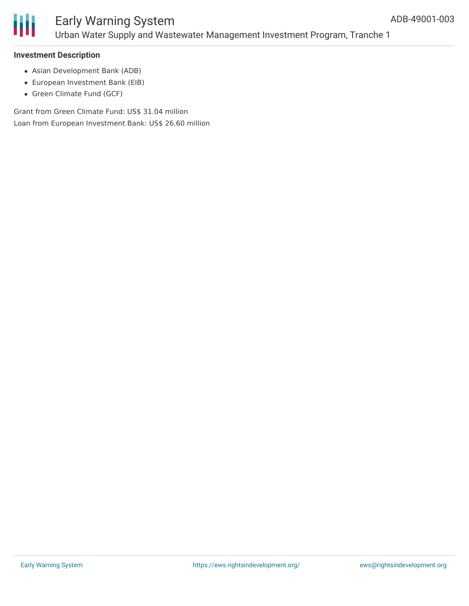

#### **Investment Description**

- Asian Development Bank (ADB)
- European Investment Bank (EIB)
- Green Climate Fund (GCF)

Grant from Green Climate Fund: US\$ 31.04 million Loan from European Investment Bank: US\$ 26.60 million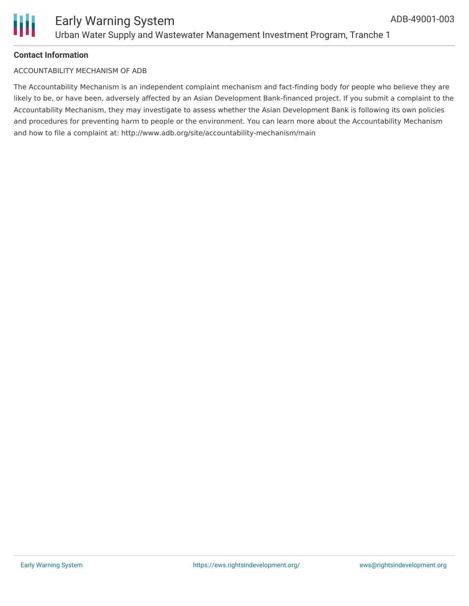

# **Contact Information**

#### ACCOUNTABILITY MECHANISM OF ADB

The Accountability Mechanism is an independent complaint mechanism and fact-finding body for people who believe they are likely to be, or have been, adversely affected by an Asian Development Bank-financed project. If you submit a complaint to the Accountability Mechanism, they may investigate to assess whether the Asian Development Bank is following its own policies and procedures for preventing harm to people or the environment. You can learn more about the Accountability Mechanism and how to file a complaint at: http://www.adb.org/site/accountability-mechanism/main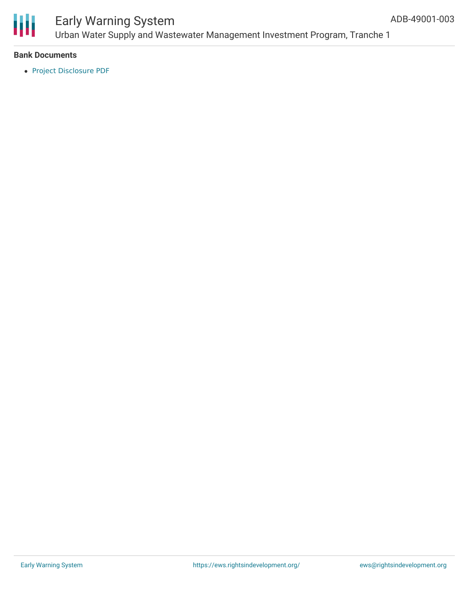

# Early Warning System Urban Water Supply and Wastewater Management Investment Program, Tranche 1

### **Bank Documents**

Project [Disclosure](https://www.adb.org/printpdf/projects/49001-003/main) PDF